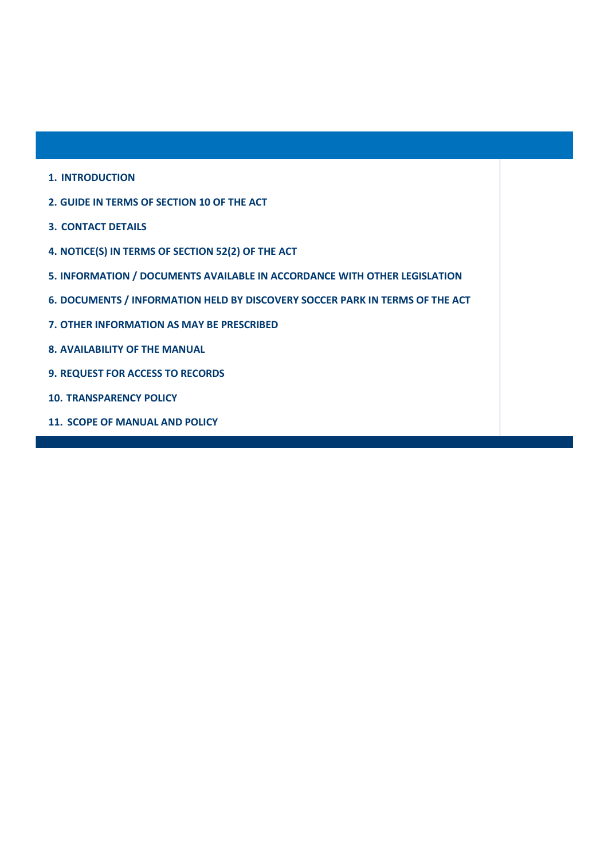- **1. INTRODUCTION**
- **2. GUIDE IN TERMS OF SECTION 10 OF THE ACT**
- **3. CONTACT DETAILS**
- **4. NOTICE(S) IN TERMS OF SECTION 52(2) OF THE ACT**
- **5. INFORMATION / DOCUMENTS AVAILABLE IN ACCORDANCE WITH OTHER LEGISLATION**
- **6. DOCUMENTS / INFORMATION HELD BY DISCOVERY SOCCER PARK IN TERMS OF THE ACT**
- **7. OTHER INFORMATION AS MAY BE PRESCRIBED**
- **8. AVAILABILITY OF THE MANUAL**
- **9. REQUEST FOR ACCESS TO RECORDS**
- **10. TRANSPARENCY POLICY**
- **11. SCOPE OF MANUAL AND POLICY**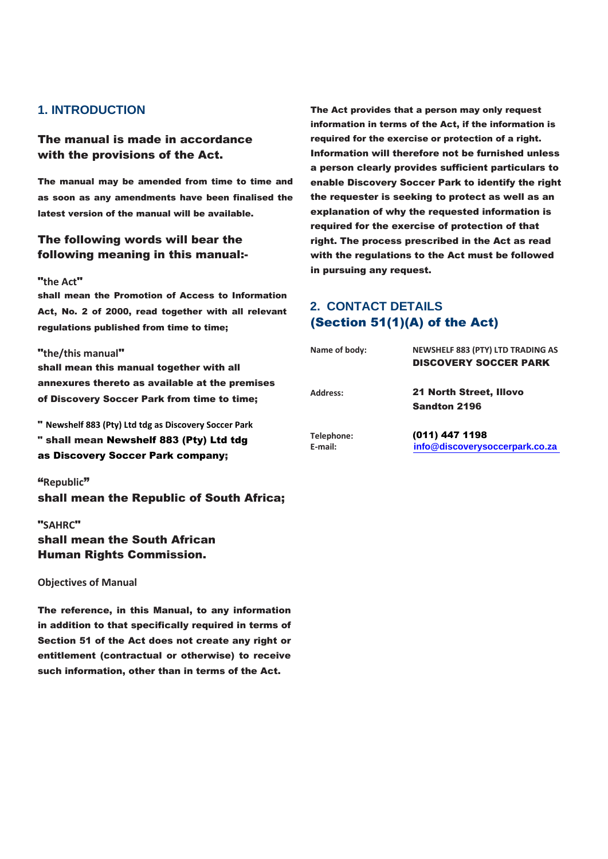## **1. INTRODUCTION**

#### The manual is made in accordance with the provisions of the Act.

The manual may be amended from time to time and as soon as any amendments have been finalised the latest version of the manual will be available.

## The following words will bear the following meaning in this manual:-

#### "**the Act**"

shall mean the Promotion of Access to Information Act, No. 2 of 2000, read together with all relevant regulations published from time to time;

#### "**the/this manual**"

shall mean this manual together with all annexures thereto as available at the premises of Discovery Soccer Park from time to time;

" **Newshelf 883 (Pty) Ltd tdg as Discovery Soccer Park** " shall mean Newshelf 883 (Pty) Ltd tdg as Discovery Soccer Park company;

#### "**Republic**"

shall mean the Republic of South Africa;

## "**SAHRC**" shall mean the South African Human Rights Commission.

**Objectives of Manual**

The reference, in this Manual, to any information in addition to that specifically required in terms of Section 51 of the Act does not create any right or entitlement (contractual or otherwise) to receive such information, other than in terms of the Act.

The Act provides that a person may only request information in terms of the Act, if the information is required for the exercise or protection of a right. Information will therefore not be furnished unless a person clearly provides sufficient particulars to enable Discovery Soccer Park to identify the right the requester is seeking to protect as well as an explanation of why the requested information is required for the exercise of protection of that right. The process prescribed in the Act as read with the regulations to the Act must be followed in pursuing any request.

# **2. CONTACT DETAILS** (Section 51(1)(A) of the Act)

| Name of body:         | <b>NEWSHELF 883 (PTY) LTD TRADING AS</b><br><b>DISCOVERY SOCCER PARK</b> |
|-----------------------|--------------------------------------------------------------------------|
| Address:              | <b>21 North Street, Illovo</b><br><b>Sandton 2196</b>                    |
| Telephone:<br>E-mail: | (011) 447 1198<br>info@discoverysoccerpark.co.za                         |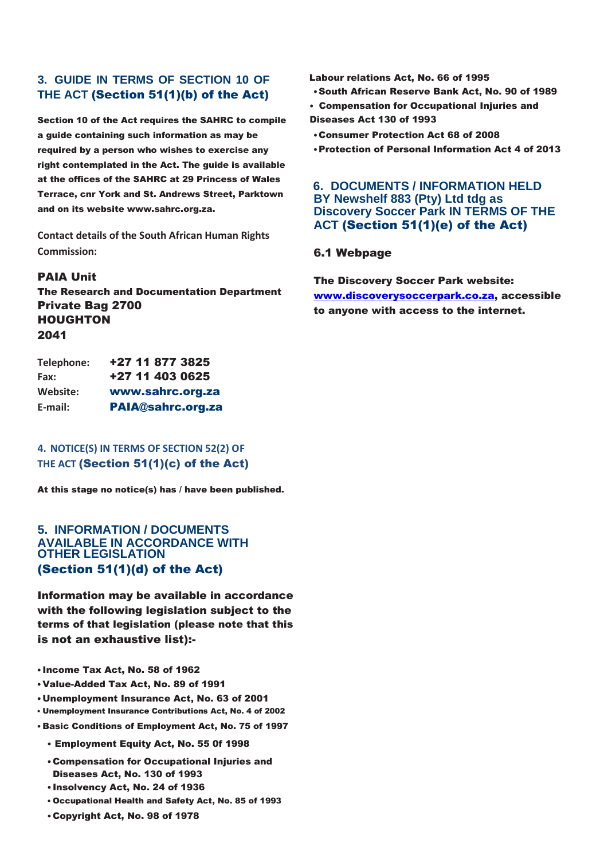## **3. GUIDE IN TERMS OF SECTION 10 OF THE ACT** (Section 51(1)(b) of the Act)

Section 10 of the Act requires the SAHRC to compile a guide containing such information as may be required by a person who wishes to exercise any right contemplated in the Act. The guide is available at the offices of the SAHRC at 29 Princess of Wales Terrace, cnr York and St. Andrews Street, Parktown and on its website www.sahrc.org.za.

**Contact details of the South African Human Rights Commission:**

#### PAIA Unit

The Research and Documentation Department Private Bag 2700 HOUGHTON 2041

| Telephone: | +27 11 877 3825          |
|------------|--------------------------|
| Fax:       | +27 11 403 0625          |
| Website:   | www.sahrc.org.za         |
| E-mail:    | <b>PAIA@sahrc.org.za</b> |

### **4. NOTICE(S) IN TERMS OF SECTION 52(2) OF THE ACT** (Section 51(1)(c) of the Act)

At this stage no notice(s) has / have been published.

### **5. INFORMATION / DOCUMENTS /AILABLE IN ACCORDANCE WITH OTHER LEGISLATION** (Section 51(1)(d) of the Act)

Information may be available in accordance with the following legislation subject to the terms of that legislation (please note that this is not an exhaustive list):-

- Income Tax Act, No. 58 of 1962
- •Value-Added Tax Act, No. 89 of 1991
- •Unemployment Insurance Act, No. 63 of 2001
- Unemployment Insurance Contributions Act, No. 4 of 2002
- Basic Conditions of Employment Act, No. 75 of 1997
	- Employment Equity Act, No. 55 0f 1998
	- •Compensation for Occupational Injuries and Diseases Act, No. 130 of 1993
	- Insolvency Act, No. 24 of 1936
	- Occupational Health and Safety Act, No. 85 of 1993
	- •Copyright Act, No. 98 of 1978

Labour relations Act, No. 66 of 1995

- •South African Reserve Bank Act, No. 90 of 1989
- Compensation for Occupational Injuries and Diseases Act 130 of 1993
- •Consumer Protection Act 68 of 2008
- •Protection of Personal Information Act 4 of 2013

#### **6. DOCUMENTS / INFORMATION HELD BY Newshelf 883 (Pty) Ltd tdg as Discovery Soccer Park IN TERMS OF THE ACT** (Section 51(1)(e) of the Act)

#### 6.1 Webpage

The Discovery Soccer Park website: www.discoverysoccerpark.co.za, accessible to anyone with access to the internet.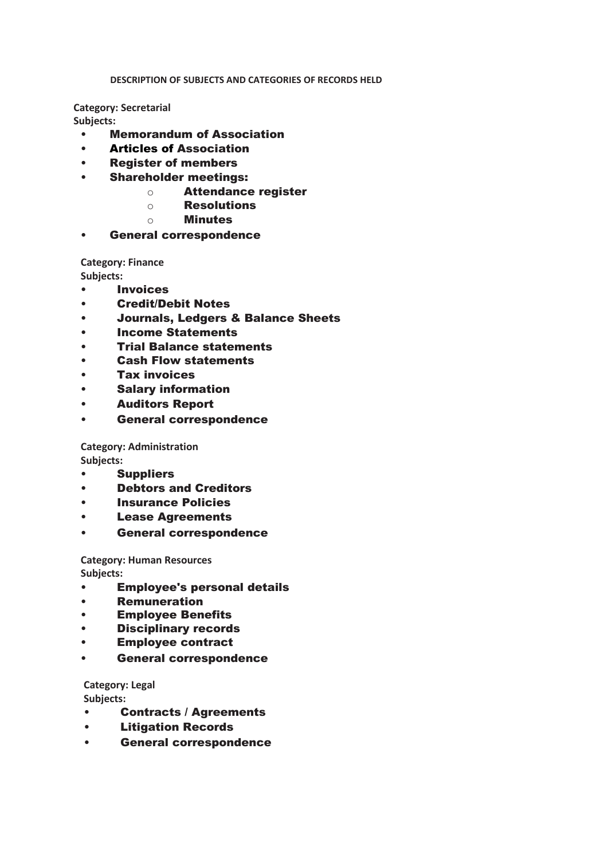#### **DESCRIPTION OF SUBJECTS AND CATEGORIES OF RECORDS HELD**

**Category: Secretarial Subjects:**

- Memorandum of Association
- Articles of Association
- Register of members
- Shareholder meetings:
	- o Attendance register
	- o Resolutions
	- o Minutes
- General correspondence

**Category: Finance**

**Subjects:**

- Invoices
- Credit/Debit Notes
- Journals, Ledgers & Balance Sheets
- Income Statements
- Trial Balance statements
- Cash Flow statements
- Tax invoices
- Salary information
- Auditors Report
- General correspondence

**Category: Administration Subjects:**

- Suppliers
- Debtors and Creditors
- Insurance Policies
- Lease Agreements
- General correspondence

**Category: Human Resources Subjects:**

- Employee's personal details
- Remuneration
- Employee Benefits
- Disciplinary records
- Employee contract
- General correspondence

**Category: Legal**

**Subjects:**

- Contracts / Agreements
- Litigation Records
- General correspondence